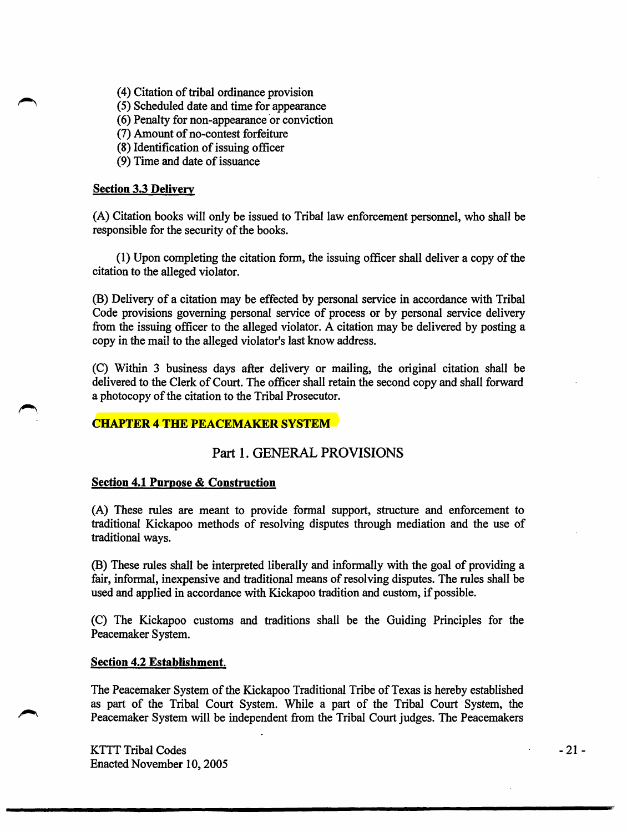(4) Citation of tribal ordinance provision

( 5) Scheduled date and time for appearance

- (6) Penalty for non-appearance or conviction
- (7) Amount of no-contest forfeiture
- (8) Identification of issuing officer
- (9) Time and date of issuance

### Section 3.3 Delivery

(A) Citation books will only be issued to Tribal law enforcement personnel, who shall be responsible for the security of the books.

(1) Upon completing the citation form, the issuing officer shall deliver a copy of the citation to the alleged violator.

(B) Delivery of a citation may be effected by personal service in accordance with Tribal Code provisions governing personal service of process or by personal service delivery from the issuing officer to the alleged violator. A citation may be delivered by posting a copy in the mail to the alleged violator's last know address.

(C) Within 3 business days after delivery or mailing, the original citation shall be delivered to the Clerk of Court. The officer shall retain the second copy and shall forward a photocopy of the citation to the Tribal Prosecutor.

## **CHAPTER 4 THE PEACEMAKER SYSTEM**

# Part I. GENERAL PROVISIONS

#### Section 4.1 Purpose & Construction

(A) These rules are meant to provide formal support, structure and enforcement to traditional Kickapoo methods of resolving disputes through mediation and the use of traditional ways.

(B) These rules shall be interpreted liberally and informally with the goal of providing a fair, informal, inexpensive and traditional means of resolving disputes. The rules shall be used and applied in accordance with Kickapoo tradition and custom, if possible.

(C) The Kickapoo customs and traditions shall be the Guiding Principles for the Peacemaker System.

#### Section 4.2 Establishment.

The Peacemaker System of the Kickapoo Traditional Tribe of Texas is hereby established as part of the Tribal Court System. While a part of the Tribal Court System, the Peacemaker System will be independent from the Tribal Court judges. The Peacemakers

KTTT Tribal Codes Enacted November 10, 2005 -21-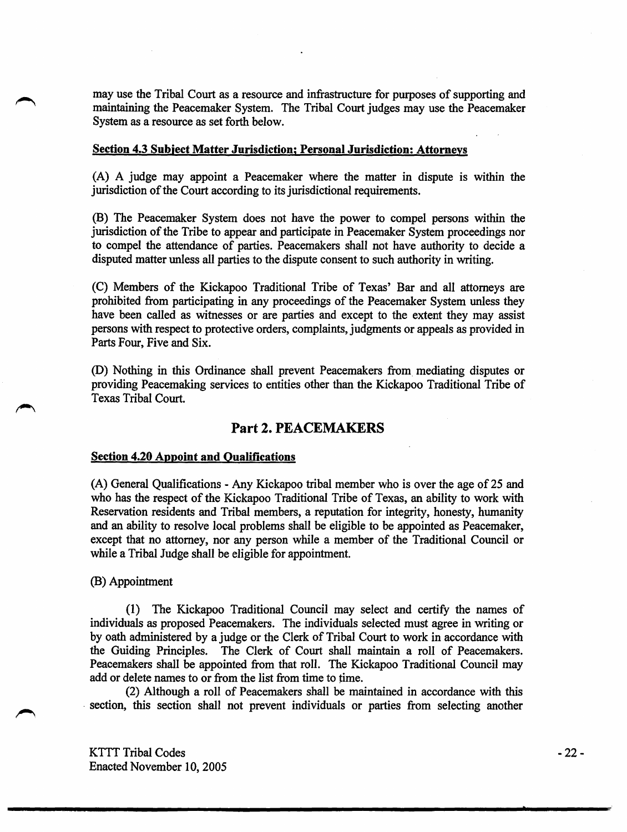may use the Tribal Court as a resource and infrastructure for purposes of supporting and maintaining the Peacemaker System. The Tribal Court judges may use the Peacemaker System as a resource as set forth below.

#### Section 4.3 Subject Matter Jurisdiction; Personal Jurisdiction: Attorneys

(A) A judge may appoint a Peacemaker where the matter in dispute is within the jurisdiction of the Court according to its jurisdictional requirements.

(B) The Peacemaker System does not have the power to compel persons within the jurisdiction of the Tribe to appear and participate in Peacemaker System proceedings nor to compel the attendance of parties. Peacemakers shall not have authority to decide a disputed matter unless all parties to the dispute consent to such authority in writing.

(C) Members of the Kickapoo Traditional Tribe of Texas' Bar and all attorneys are prohibited from participating in any proceedings of the Peacemaker System unless they have been called as witnesses or are parties and except to the extent they may assist persons with respect to protective orders, complaints, judgments or appeals as provided in Parts Four, Five and Six.

(D) Nothing in this Ordinance shall prevent Peacemakers from\_ mediating disputes or providing Peacemaking services to entities other than the Kickapoo Traditional Tribe of Texas Tribal Court.

# Part 2. PEACEMAKERS

#### Section 4.20 Appoint and Qualifications

(A) General Qualifications - Any Kickapoo tribal member who is over the age of 25 and who has the respect of the Kickapoo Traditional Tribe of Texas, an ability to work with Reservation residents and Tribal members, a reputation for integrity, honesty, humanity and an ability to resolve local problems shall be eligible to be appointed as Peacemaker, except that no attorney, nor any person while a member of the Traditional Council or while a Tribal Judge shall be eligible for appointment.

### (B) Appointment

(1) The Kickapoo Traditional Council may select and certify the names of individuals as proposed Peacemakers. The individuals selected must agree in writing or by oath administered by a judge or the Clerk of Tribal Court to work in accordance with the Guiding Principles. The Clerk of Court shall maintain a roll of Peacemakers. Peacemakers shall be appointed from that roll. The Kickapoo Traditional Council may add or delete names to or from the list from time to time.

(2) Although a roll of Peacemakers shall be maintained in accordance with this section, this section shall not prevent individuals or parties from selecting another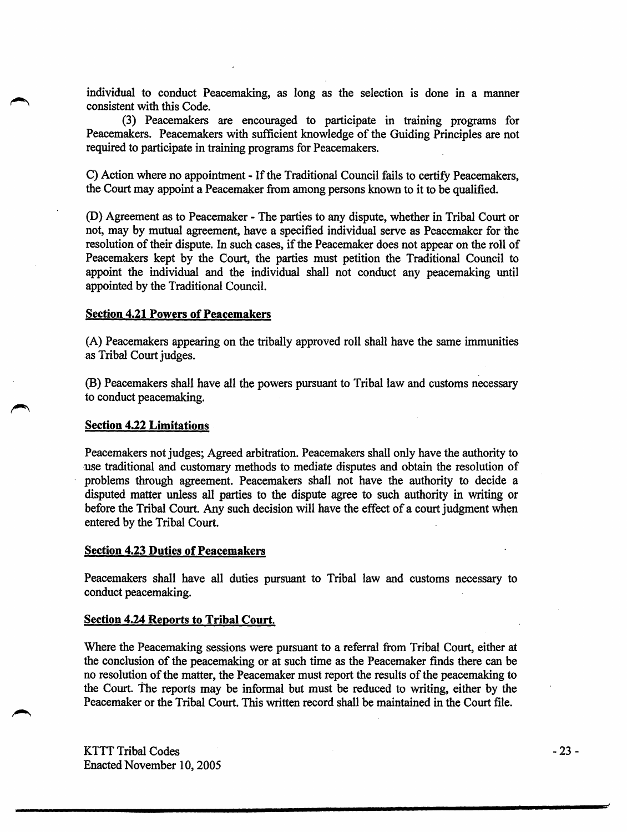individual to conduct Peacemaking, as long as the selection is done in a manner consistent with this Code.

(3) Peacemakers are encouraged to participate in training programs for Peacemakers. Peacemakers with sufficient knowledge of the Guiding Principles are not required to participate in training programs for Peacemakers.

C) Action where no appointment - If the Traditional Council fails to certify Peacemakers, the Court may appoint a Peacemaker from among persons known to it to be qualified.

(D) Agreement as to Peacemaker- The parties to any dispute, whether in Tribal Court or not, may by mutual agreement, have a specified individual serve as Peacemaker for the resolution of their dispute. In such cases, if the Peacemaker does not appear on the roll of Peacemakers kept by the Court, the parties must petition the Traditional Council to appoint the individual and the individual shall not conduct any peacemaking until appointed by the Traditional Council.

#### Section 4.21 Powers of Peacemakers

(A) Peacemakers appearing on the tribally approved roll shall have the same immunities as Tribal Court judges.

(B) Peacemakers shall have all the powers pursuant to Tribal law and customs necessary to conduct peacemaking.

#### Section 4.22 Limitations

Peacemakers not judges; Agreed arbitration. Peacemakers shall only have the authority to use traditional and customary methods to mediate disputes and obtain the resolution of problems through agreement. Peacemakers shall not have the authority to decide a disputed matter unless all parties to the dispute agree to such authority in writing or before the Tribal Court. Any such decision will have the effect of a court judgment when entered by the Tribal Court. .

#### Section 4.23 Duties of Peacemakers

Peacemakers shall have all duties pursuant to Tribal law and customs necessary to conduct peacemaking.

### Section 4.24 Reports to Tribal Court.

Where the Peacemaking sessions were pursuant to a referral from Tribal Court, either at the conclusion of the peacemaking or at such time as the Peacemaker finds there can be no resolution of the matter, the Peacemaker must report the results of the peacemaking to the Court. The reports may be informal but must be reduced to writing, either by the Peacemaker or the Tribal Court. This written record shall be maintained in the Court file.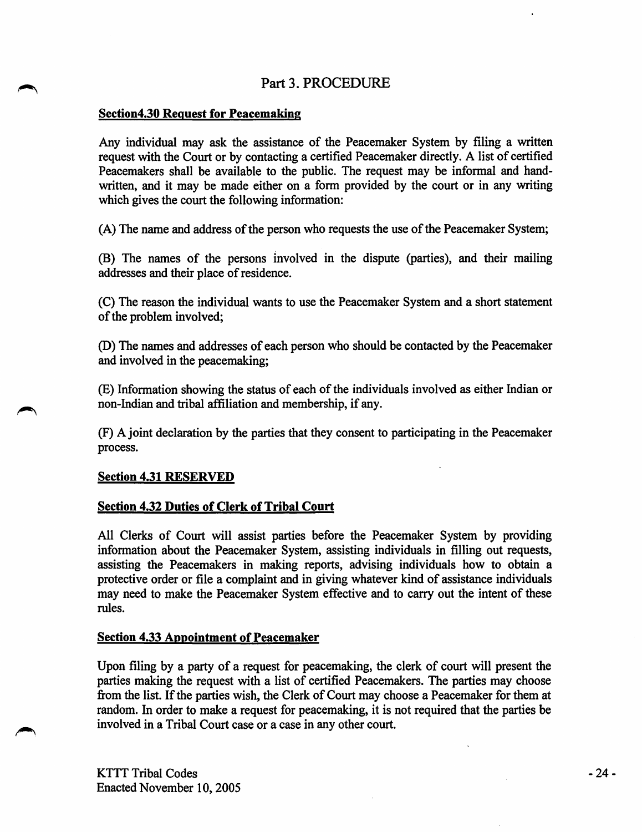# Part 3. PROCEDURE

# Section4.30 Request for Peacemaking

Any individual may ask the assistance of the Peacemaker System by filing a written request with the Court or by contacting a certified Peacemaker directly. A list of certified Peacemakers shall be available to the public. The request may be informal and handwritten, and it may be made either on a form provided by the court or in any writing which gives the court the following information:

(A) The name and address of the person who requests the use of the Peacemaker System;

(B) The names of the persons Involved in the dispute (parties), and their mailing addresses and their place of residence.

(C) The reason the individual wants to use the Peacemaker System and a short statement of the problem involved;

(D) The names and addresses of each person who should be contacted by the Peacemaker and involved in the peacemaking;

(E) Information showing the status of each of the individuals involved as either Indian or non-Indian and tribal affiliation and membership, if any.

(F) A joint declaration by the parties that they consent to participating in the Peacemaker process.

# Section 4.31 RESERVED

# Section 4.32 Duties of Clerk of Tribal Court

All Clerks of Court will assist parties before the Peacemaker System by providing information about the Peacemaker System, assisting individuals in filling out requests, assisting the Peacemakers in making reports, advising individuals how to obtain a protective order or file a complaint and in giving whatever kind of assistance individuals may need to make the Peacemaker System effective and to carry out the intent of these rules.

# Section 4.33 Appointment of Peacemaker

Upon filing by a party of a request for peacemaking, the clerk of court will present the parties making the request with a list of certified Peacemakers. The parties may choose from the list. If the parties wish, the Clerk of Court may choose a Peacemaker for them at random. In order to make a request for peacemaking, it is not required that the parties be involved in a Tribal Court case or a case in any other court.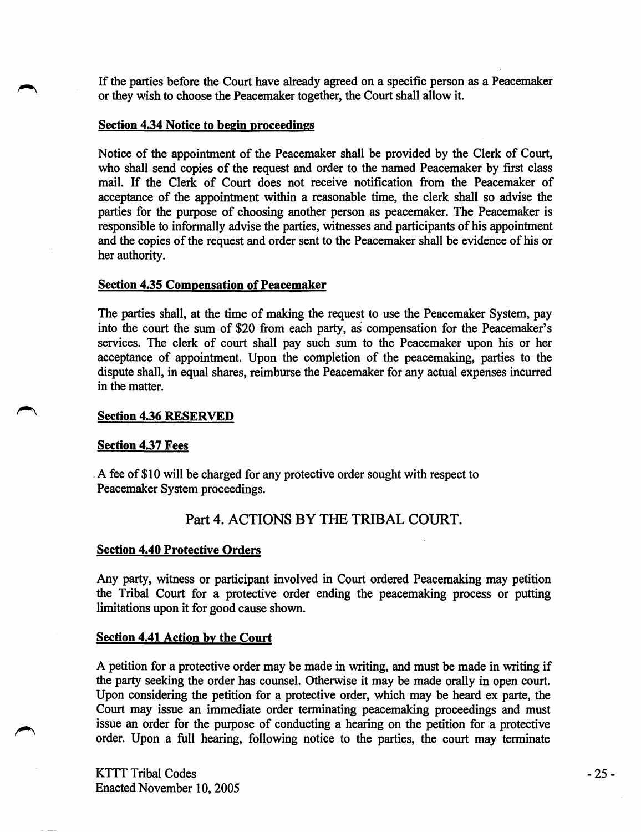If the parties before the Court have already agreed on a specific person as a Peacemaker or they wish to choose the Peacemaker together, the Court shall allow it.

### Section 4.34 Notice to begin proceedings

Notice of the appointment of the Peacemaker shall be provided by the Clerk of Court, who shall send copies of the request and order to the named Peacemaker by first class mail. If the Clerk of Court does not receive notification from the Peacemaker of acceptance of the appointment within a reasonable time, the clerk shall so advise the parties for the purpose of choosing another person as peacemaker. The Peacemaker is responsible to informally advise the parties, witnesses and participants of his appointment and the copies of the request and order sent to the Peacemaker shall be evidence of his or her authority.

### Section 4.35 Compensation of Peacemaker

The parties shall, at the time of making the request to use the Peacemaker System, pay into the court the sum of \$20 from each party, as compensation for the Peacemaker's services. The clerk of court shall pay such sum to the Peacemaker upon his or her acceptance of appointment. Upon the completion of the peacemaking, parties to the dispute shall, in equal shares, reimburse the Peacemaker for any actual expenses incurred in the matter.

## Section 4.36 RESERVED

### Section 4.37 Fees

. A fee of \$10 will be charged for any protective order sought with respect to Peacemaker System proceedings.

# Part 4. ACTIONS BY THE TRIBAL COURT.

# Section 4.40 Protective Orders

Any party, witness or participant involved in Court ordered Peacemaking may petition the Tribal Court for a protective order ending the peacemaking process or putting limitations upon it for good cause shown.

### Section 4.41 Action by the Court

A petition for a protective order may be made in writing, and must be made in writing if the party seeking the order has counsel. Otherwise it may be made orally in open court. Upon considering the petition for a protective order, which may be heard ex parte, the Court may issue an immediate order terminating peacemaking proceedings and must issue an order for the purpose of conducting a hearing on the petition for a protective order. Upon a full hearing, following notice to the parties, the court may terminate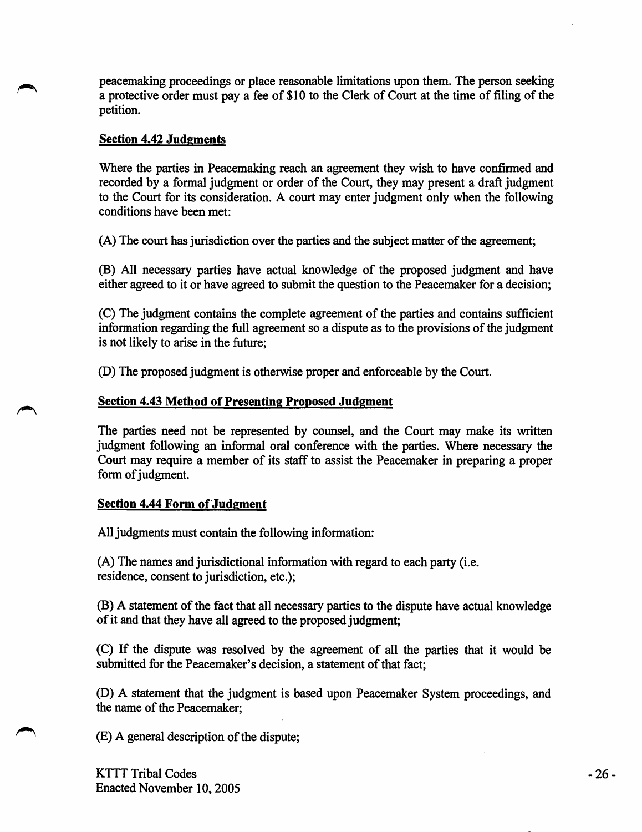peacemaking proceedings or place reasonable limitations upon them. The person seeking a protective order must pay a fee of \$10 to the Clerk of Court at the time of filing of the petition.

### Section 4.42 Judgments

Where the parties in Peacemaking reach an agreement they wish to have confirmed and recorded by a formal judgment or order of the Court, they may present a draft judgment to the Court for its consideration. A court may enter judgment only when the following conditions have been met:

(A) The court has jurisdiction over the parties and the subject matter of the agreement;

(B) All necessary parties have actual knowledge of the proposed judgment and have either agreed to it or have agreed to submit the question to the Peacemaker for a decision;

(C) The judgment contains the complete agreement of the parties and contains sufficient information regarding the full agreement so a dispute as to the provisions of the judgment is not likely to arise in the future;

(D) The proposed judgment is otherwise proper and enforceable by the Court.

### Section 4.43 Method of Presenting Proposed Judgment

The parties need not be represented by counsel, and the Court may make its written judgment following an informal oral conference with the parties. Where necessary the Court may require a member of its staff to assist the Peacemaker in preparing a proper form of judgment.

### Section 4.44 Form of Judgment

All judgments must contain the following information:

(A) The names and jurisdictional information with regard to each party (i.e. residence, consent to jurisdiction, etc.);

(B) A statement of the fact that all necessary parties to the dispute have actual knowledge of it and that they have all agreed to the proposed judgment;

(C) If the dispute was resolved by the agreement of all the parties that it would be submitted for the Peacemaker's decision, a statement of that fact;

(D) A statement that the judgment is based upon Peacemaker System proceedings, and the name of the Peacemaker;

(E) A general description of the dispute;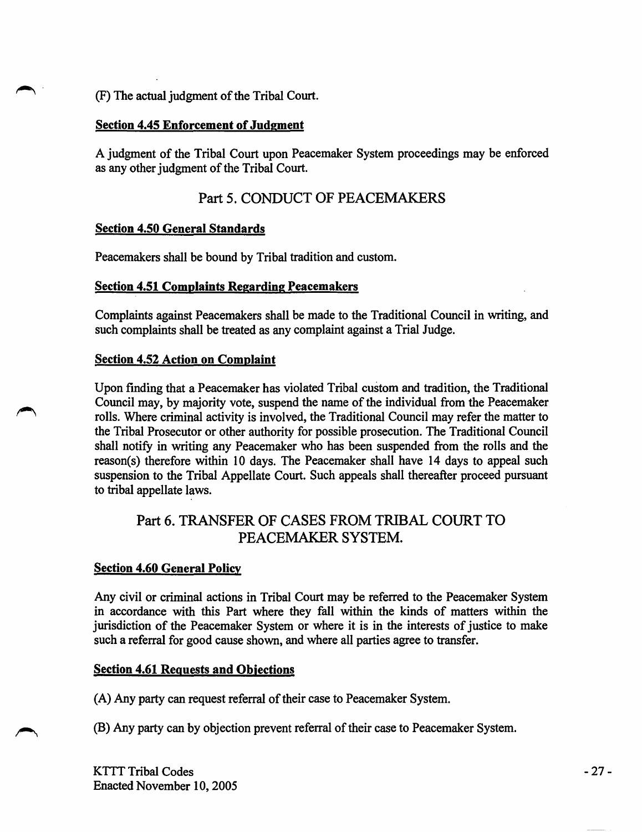(F) The actual judgment of the Tribal Court.

# Section 4.45 Enforcement of Judgment

A judgment of the Tribal Court upon Peacemaker System proceedings may be enforced as any other judgment of the Tribal Court.

# Part 5. CONDUCT OF PEACEMAKERS

# Section 4.50 General Standards

Peacemakers shall be bound by Tribal tradition and custom.

# Section 4.51 Complaints Regarding Peacemakers

Complaints against Peacemakers shall be made to the Traditional Council in writing, and such complaints shall be treated as any complaint against a Trial Judge.

# Section 4.52 Action on Complaint

Upon fmding that a Peacemaker has violated Tribal custom and tradition, the Traditional Council may, by majority vote, suspend the name of the individual from the Peacemaker rolls. Where criminal activity is involved, the Traditional Council may refer the matter to the Tribal Prosecutor or other authority for possible prosecution. The Traditional Council shall notify in writing any Peacemaker who has been suspended from the rolls and the reason(s) therefore within 10 days. The Peacemaker shall have 14 days to appeal such suspension to the Tribal Appellate Court. Such appeals shall thereafter proceed pursuant to tribal appellate laws.

# Part 6. TRANSFER OF CASES FROM TRIBAL COURT TO PEACEMAKER SYSTEM.

# Section 4.60 General Policy

Any civil or criminal actions in Tribal Court may be referred to the Peacemaker System in accordance with this Part where they fall within the kinds of matters within the jurisdiction of the Peacemaker System or where it is in the interests of justice to make such a referral for good cause shown, and where all parties agree to transfer.

# Section 4.61 Requests and Objections

(A) Any party can request referral of their case to Peacemaker System.

(B) Any party can by objection prevent referral of their case to Peacemaker System.